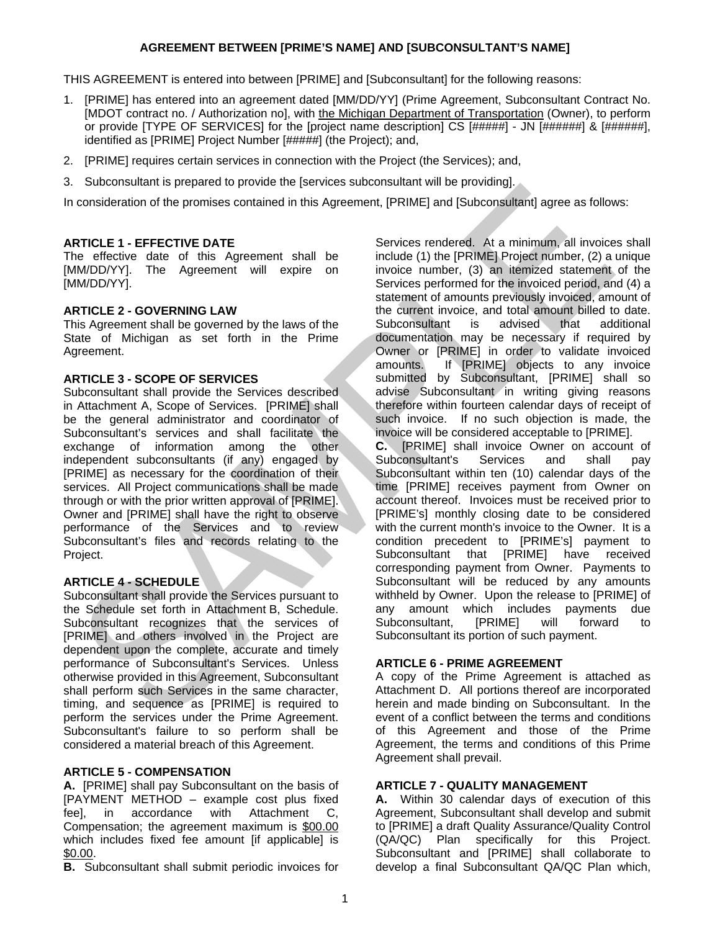## **AGREEMENT BETWEEN [PRIME'S NAME] AND [SUBCONSULTANT'S NAME]**

THIS AGREEMENT is entered into between [PRIME] and [Subconsultant] for the following reasons:

- 1. [PRIME] has entered into an agreement dated [MM/DD/YY] (Prime Agreement, Subconsultant Contract No. [MDOT contract no. / Authorization no], with the Michigan Department of Transportation (Owner), to perform or provide [TYPE OF SERVICES] for the [project name description] CS [#####] - JN [######] & [######], identified as [PRIME] Project Number [#####] (the Project); and,
- 2. [PRIME] requires certain services in connection with the Project (the Services); and,
- 3. Subconsultant is prepared to provide the [services subconsultant will be providing].

In consideration of the promises contained in this Agreement, [PRIME] and [Subconsultant] agree as follows:

## **ARTICLE 1 - EFFECTIVE DATE**

The effective date of this Agreement shall be [MM/DD/YY]. The Agreement will expire on [MM/DD/YY].

### **ARTICLE 2 - GOVERNING LAW**

This Agreement shall be governed by the laws of the State of Michigan as set forth in the Prime Agreement.

### **ARTICLE 3 - SCOPE OF SERVICES**

Subconsultant shall provide the Services described in Attachment A, Scope of Services. [PRIME] shall be the general administrator and coordinator of Subconsultant's services and shall facilitate the exchange of information among the other independent subconsultants (if any) engaged by [PRIME] as necessary for the coordination of their services. All Project communications shall be made through or with the prior written approval of [PRIME]. Owner and [PRIME] shall have the right to observe performance of the Services and to review Subconsultant's files and records relating to the Project.

# **ARTICLE 4 - SCHEDULE**

Subconsultant shall provide the Services pursuant to the Schedule set forth in Attachment B, Schedule. Subconsultant recognizes that the services of [PRIME] and others involved in the Project are dependent upon the complete, accurate and timely performance of Subconsultant's Services. Unless otherwise provided in this Agreement, Subconsultant shall perform such Services in the same character, timing, and sequence as [PRIME] is required to perform the services under the Prime Agreement. Subconsultant's failure to so perform shall be considered a material breach of this Agreement.

# **ARTICLE 5 - COMPENSATION**

**A.** [PRIME] shall pay Subconsultant on the basis of [PAYMENT METHOD – example cost plus fixed fee], in accordance with Attachment C, Compensation; the agreement maximum is \$00.00 which includes fixed fee amount [if applicable] is \$0.00.

**B.** Subconsultant shall submit periodic invoices for

Services rendered. At a minimum, all invoices shall include (1) the [PRIME] Project number, (2) a unique invoice number, (3) an itemized statement of the Services performed for the invoiced period, and (4) a statement of amounts previously invoiced, amount of the current invoice, and total amount billed to date. Subconsultant is advised that additional documentation may be necessary if required by Owner or [PRIME] in order to validate invoiced amounts. If [PRIME] objects to any invoice submitted by Subconsultant, [PRIME] shall so advise Subconsultant in writing giving reasons therefore within fourteen calendar days of receipt of such invoice. If no such objection is made, the invoice will be considered acceptable to [PRIME].

**C.** [PRIME] shall invoice Owner on account of Subconsultant's Services and shall pay Subconsultant within ten (10) calendar days of the time [PRIME] receives payment from Owner on account thereof. Invoices must be received prior to [PRIME's] monthly closing date to be considered with the current month's invoice to the Owner. It is a condition precedent to [PRIME's] payment to Subconsultant that [PRIME] have received corresponding payment from Owner. Payments to Subconsultant will be reduced by any amounts withheld by Owner. Upon the release to [PRIME] of any amount which includes payments due Subconsultant, [PRIME] will forward to Subconsultant its portion of such payment.

# **ARTICLE 6 - PRIME AGREEMENT**

A copy of the Prime Agreement is attached as Attachment D. All portions thereof are incorporated herein and made binding on Subconsultant. In the event of a conflict between the terms and conditions of this Agreement and those of the Prime Agreement, the terms and conditions of this Prime Agreement shall prevail.

### **ARTICLE 7 - QUALITY MANAGEMENT**

**A.** Within 30 calendar days of execution of this Agreement, Subconsultant shall develop and submit to [PRIME] a draft Quality Assurance/Quality Control (QA/QC) Plan specifically for this Project. Subconsultant and [PRIME] shall collaborate to develop a final Subconsultant QA/QC Plan which,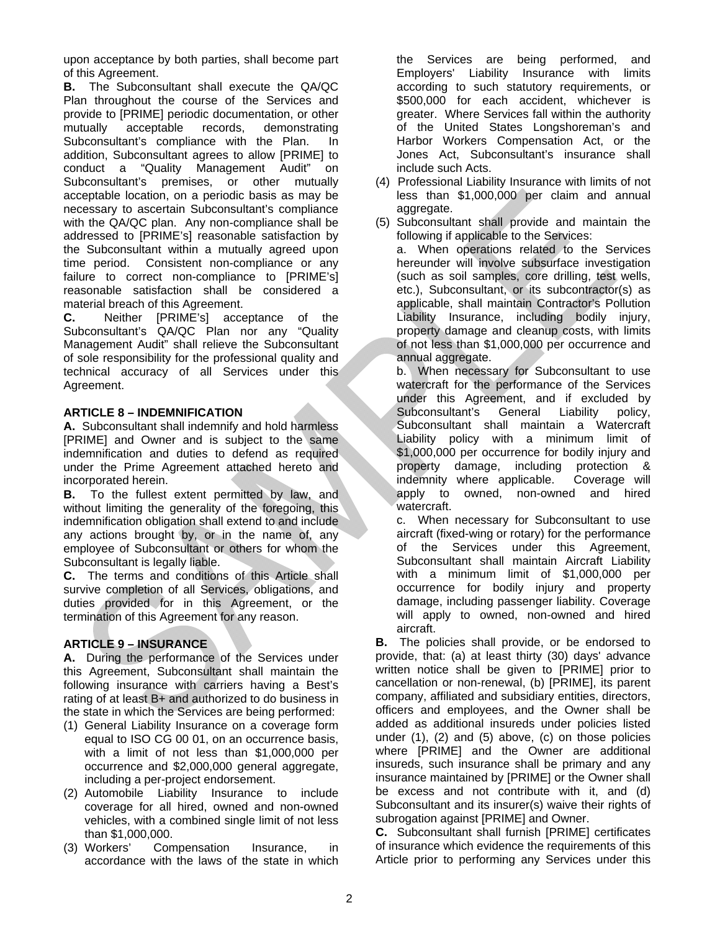upon acceptance by both parties, shall become part of this Agreement.

**B.** The Subconsultant shall execute the QA/QC Plan throughout the course of the Services and provide to [PRIME] periodic documentation, or other mutually acceptable records, demonstrating Subconsultant's compliance with the Plan. In addition, Subconsultant agrees to allow [PRIME] to conduct a "Quality Management Audit" on Subconsultant's premises, or other mutually acceptable location, on a periodic basis as may be necessary to ascertain Subconsultant's compliance with the QA/QC plan. Any non-compliance shall be addressed to [PRIME's] reasonable satisfaction by the Subconsultant within a mutually agreed upon time period. Consistent non-compliance or any failure to correct non-compliance to [PRIME's] reasonable satisfaction shall be considered a material breach of this Agreement.

**C.** Neither [PRIME's] acceptance of the Subconsultant's QA/QC Plan nor any "Quality Management Audit" shall relieve the Subconsultant of sole responsibility for the professional quality and technical accuracy of all Services under this Agreement.

# **ARTICLE 8 – INDEMNIFICATION**

**A.** Subconsultant shall indemnify and hold harmless [PRIME] and Owner and is subject to the same indemnification and duties to defend as required under the Prime Agreement attached hereto and incorporated herein.

**B.** To the fullest extent permitted by law, and without limiting the generality of the foregoing, this indemnification obligation shall extend to and include any actions brought by, or in the name of, any employee of Subconsultant or others for whom the Subconsultant is legally liable.

**C.** The terms and conditions of this Article shall survive completion of all Services, obligations, and duties provided for in this Agreement, or the termination of this Agreement for any reason.

# **ARTICLE 9 – INSURANCE**

**A.** During the performance of the Services under this Agreement, Subconsultant shall maintain the following insurance with carriers having a Best's rating of at least B+ and authorized to do business in the state in which the Services are being performed:

- (1) General Liability Insurance on a coverage form equal to ISO CG 00 01, on an occurrence basis, with a limit of not less than \$1,000,000 per occurrence and \$2,000,000 general aggregate, including a per-project endorsement.
- (2) Automobile Liability Insurance to include coverage for all hired, owned and non-owned vehicles, with a combined single limit of not less than \$1,000,000.
- (3) Workers' Compensation Insurance, in accordance with the laws of the state in which

the Services are being performed, and Employers' Liability Insurance with limits according to such statutory requirements, or \$500,000 for each accident, whichever is greater. Where Services fall within the authority of the United States Longshoreman's and Harbor Workers Compensation Act, or the Jones Act, Subconsultant's insurance shall include such Acts.

- (4) Professional Liability Insurance with limits of not less than \$1,000,000 per claim and annual aggregate.
- (5) Subconsultant shall provide and maintain the following if applicable to the Services:

a. When operations related to the Services hereunder will involve subsurface investigation (such as soil samples, core drilling, test wells, etc.), Subconsultant, or its subcontractor(s) as applicable, shall maintain Contractor's Pollution Liability Insurance, including bodily injury, property damage and cleanup costs, with limits of not less than \$1,000,000 per occurrence and annual aggregate.

b. When necessary for Subconsultant to use watercraft for the performance of the Services under this Agreement, and if excluded by Subconsultant's General Liability policy, Subconsultant shall maintain a Watercraft Liability policy with a minimum limit of \$1,000,000 per occurrence for bodily injury and property damage, including protection & indemnity where applicable. Coverage will apply to owned, non-owned and hired watercraft.

c. When necessary for Subconsultant to use aircraft (fixed-wing or rotary) for the performance of the Services under this Agreement, Subconsultant shall maintain Aircraft Liability with a minimum limit of \$1,000,000 per occurrence for bodily injury and property damage, including passenger liability. Coverage will apply to owned, non-owned and hired aircraft.

**B.** The policies shall provide, or be endorsed to provide, that: (a) at least thirty (30) days' advance written notice shall be given to [PRIME] prior to cancellation or non-renewal, (b) [PRIME], its parent company, affiliated and subsidiary entities, directors, officers and employees, and the Owner shall be added as additional insureds under policies listed under (1), (2) and (5) above, (c) on those policies where [PRIME] and the Owner are additional insureds, such insurance shall be primary and any insurance maintained by [PRIME] or the Owner shall be excess and not contribute with it, and (d) Subconsultant and its insurer(s) waive their rights of subrogation against [PRIME] and Owner.

**C.** Subconsultant shall furnish [PRIME] certificates of insurance which evidence the requirements of this Article prior to performing any Services under this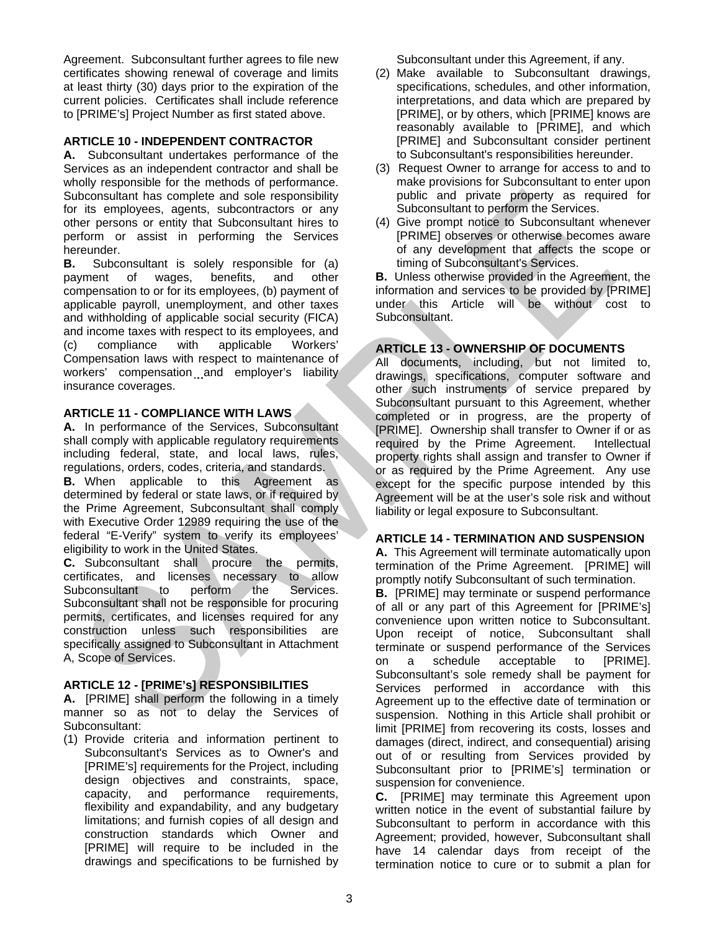Agreement. Subconsultant further agrees to file new certificates showing renewal of coverage and limits at least thirty (30) days prior to the expiration of the current policies. Certificates shall include reference to [PRIME's] Project Number as first stated above.

## **ARTICLE 10 - INDEPENDENT CONTRACTOR**

**A.** Subconsultant undertakes performance of the Services as an independent contractor and shall be wholly responsible for the methods of performance. Subconsultant has complete and sole responsibility for its employees, agents, subcontractors or any other persons or entity that Subconsultant hires to perform or assist in performing the Services hereunder.

**B.** Subconsultant is solely responsible for (a) payment of wages, benefits, and other compensation to or for its employees, (b) payment of applicable payroll, unemployment, and other taxes and withholding of applicable social security (FICA) and income taxes with respect to its employees, and (c) compliance with applicable Workers' (c) compliance with applicable Workers' Compensation laws with respect to maintenance of workers' compensation and employer's liability insurance coverages.

## **ARTICLE 11 - COMPLIANCE WITH LAWS**

**A.** In performance of the Services, Subconsultant shall comply with applicable regulatory requirements including federal, state, and local laws, rules, regulations, orders, codes, criteria, and standards. **B.** When applicable to this Agreement as determined by federal or state laws, or if required by the Prime Agreement, Subconsultant shall comply with Executive Order 12989 requiring the use of the federal "E-Verify" system to verify its employees' eligibility to work in the United States.

**C.** Subconsultant shall procure the permits, certificates, and licenses necessary to allow Subconsultant to perform the Services. Subconsultant shall not be responsible for procuring permits, certificates, and licenses required for any construction unless such responsibilities are specifically assigned to Subconsultant in Attachment A, Scope of Services.

# **ARTICLE 12 - [PRIME's] RESPONSIBILITIES**

**A.** [PRIME] shall perform the following in a timely manner so as not to delay the Services of Subconsultant:

(1) Provide criteria and information pertinent to Subconsultant's Services as to Owner's and [PRIME's] requirements for the Project, including design objectives and constraints, space, capacity, and performance requirements, flexibility and expandability, and any budgetary limitations; and furnish copies of all design and construction standards which Owner and [PRIME] will require to be included in the drawings and specifications to be furnished by Subconsultant under this Agreement, if any.

- (2) Make available to Subconsultant drawings, specifications, schedules, and other information, interpretations, and data which are prepared by [PRIME], or by others, which [PRIME] knows are reasonably available to [PRIME], and which [PRIME] and Subconsultant consider pertinent to Subconsultant's responsibilities hereunder.
- (3) Request Owner to arrange for access to and to make provisions for Subconsultant to enter upon public and private property as required for Subconsultant to perform the Services.
- (4) Give prompt notice to Subconsultant whenever [PRIME] observes or otherwise becomes aware of any development that affects the scope or timing of Subconsultant's Services.

**B.** Unless otherwise provided in the Agreement, the information and services to be provided by [PRIME] under this Article will be without cost to Subconsultant.

# **ARTICLE 13 - OWNERSHIP OF DOCUMENTS**

All documents, including, but not limited to, drawings, specifications, computer software and other such instruments of service prepared by Subconsultant pursuant to this Agreement, whether completed or in progress, are the property of [PRIME]. Ownership shall transfer to Owner if or as required by the Prime Agreement. Intellectual property rights shall assign and transfer to Owner if or as required by the Prime Agreement. Any use except for the specific purpose intended by this Agreement will be at the user's sole risk and without liability or legal exposure to Subconsultant.

### **ARTICLE 14 - TERMINATION AND SUSPENSION**

**A.** This Agreement will terminate automatically upon termination of the Prime Agreement. [PRIME] will promptly notify Subconsultant of such termination.

**B.** [PRIME] may terminate or suspend performance of all or any part of this Agreement for [PRIME's] convenience upon written notice to Subconsultant. Upon receipt of notice, Subconsultant shall terminate or suspend performance of the Services on a schedule acceptable to [PRIME]. Subconsultant's sole remedy shall be payment for Services performed in accordance with this Agreement up to the effective date of termination or suspension. Nothing in this Article shall prohibit or limit [PRIME] from recovering its costs, losses and damages (direct, indirect, and consequential) arising out of or resulting from Services provided by Subconsultant prior to [PRIME's] termination or suspension for convenience.

**C.** [PRIME] may terminate this Agreement upon written notice in the event of substantial failure by Subconsultant to perform in accordance with this Agreement; provided, however, Subconsultant shall have 14 calendar days from receipt of the termination notice to cure or to submit a plan for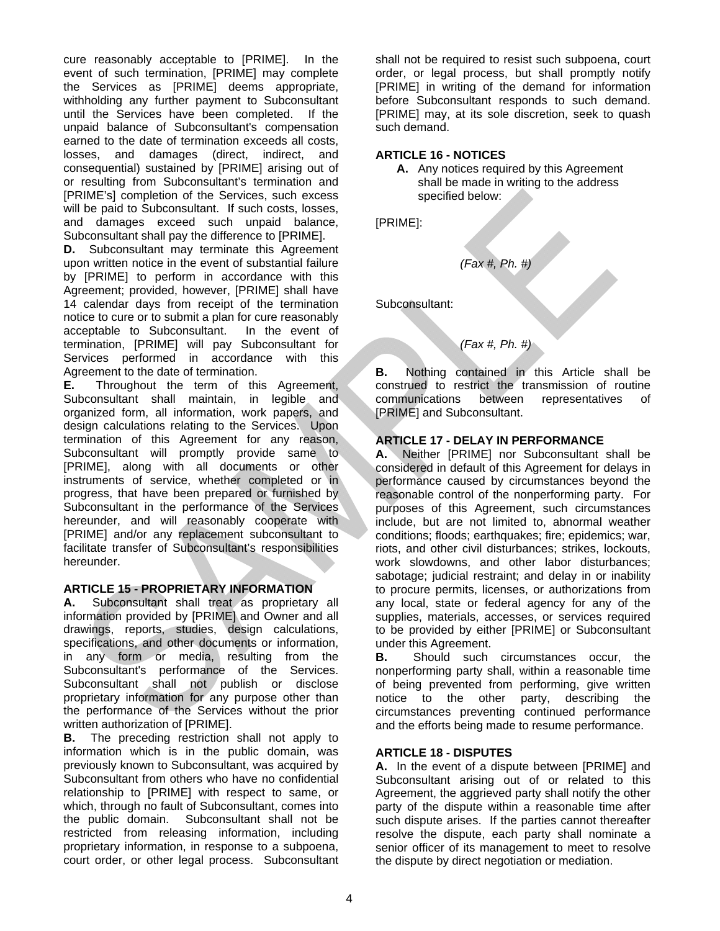cure reasonably acceptable to [PRIME]. In the event of such termination, [PRIME] may complete the Services as [PRIME] deems appropriate, withholding any further payment to Subconsultant until the Services have been completed. If the unpaid balance of Subconsultant's compensation earned to the date of termination exceeds all costs, losses, and damages (direct, indirect, and consequential) sustained by [PRIME] arising out of or resulting from Subconsultant's termination and [PRIME's] completion of the Services, such excess will be paid to Subconsultant. If such costs, losses, and damages exceed such unpaid balance, Subconsultant shall pay the difference to [PRIME].

**D.** Subconsultant may terminate this Agreement upon written notice in the event of substantial failure by [PRIME] to perform in accordance with this Agreement; provided, however, [PRIME] shall have 14 calendar days from receipt of the termination notice to cure or to submit a plan for cure reasonably acceptable to Subconsultant. In the event of termination, [PRIME] will pay Subconsultant for Services performed in accordance with this Agreement to the date of termination.

**E.** Throughout the term of this Agreement, Subconsultant shall maintain, in legible and organized form, all information, work papers, and design calculations relating to the Services. Upon termination of this Agreement for any reason, Subconsultant will promptly provide same to [PRIME], along with all documents or other instruments of service, whether completed or in progress, that have been prepared or furnished by Subconsultant in the performance of the Services hereunder, and will reasonably cooperate with [PRIME] and/or any replacement subconsultant to facilitate transfer of Subconsultant's responsibilities hereunder.

### **ARTICLE 15 - PROPRIETARY INFORMATION**

**A.** Subconsultant shall treat as proprietary all information provided by [PRIME] and Owner and all drawings, reports, studies, design calculations, specifications, and other documents or information, in any form or media, resulting from the Subconsultant's performance of the Services. Subconsultant shall not publish or disclose proprietary information for any purpose other than the performance of the Services without the prior written authorization of [PRIME].

**B.** The preceding restriction shall not apply to information which is in the public domain, was previously known to Subconsultant, was acquired by Subconsultant from others who have no confidential relationship to [PRIME] with respect to same, or which, through no fault of Subconsultant, comes into the public domain. Subconsultant shall not be restricted from releasing information, including proprietary information, in response to a subpoena, court order, or other legal process. Subconsultant shall not be required to resist such subpoena, court order, or legal process, but shall promptly notify [PRIME] in writing of the demand for information before Subconsultant responds to such demand. [PRIME] may, at its sole discretion, seek to quash such demand.

## **ARTICLE 16 - NOTICES**

**A.** Any notices required by this Agreement shall be made in writing to the address specified below:

[PRIME]:

 *(Fax #, Ph. #)* 

Subconsultant:

# *(Fax #, Ph. #)*

**B.** Nothing contained in this Article shall be construed to restrict the transmission of routine communications between representatives of [PRIME] and Subconsultant.

## **ARTICLE 17 - DELAY IN PERFORMANCE**

**A.** Neither [PRIME] nor Subconsultant shall be considered in default of this Agreement for delays in performance caused by circumstances beyond the reasonable control of the nonperforming party. For purposes of this Agreement, such circumstances include, but are not limited to, abnormal weather conditions; floods; earthquakes; fire; epidemics; war, riots, and other civil disturbances; strikes, lockouts, work slowdowns, and other labor disturbances; sabotage; judicial restraint; and delay in or inability to procure permits, licenses, or authorizations from any local, state or federal agency for any of the supplies, materials, accesses, or services required to be provided by either [PRIME] or Subconsultant under this Agreement.

**B.** Should such circumstances occur, the nonperforming party shall, within a reasonable time of being prevented from performing, give written notice to the other party, describing the circumstances preventing continued performance and the efforts being made to resume performance.

# **ARTICLE 18 - DISPUTES**

**A.** In the event of a dispute between [PRIME] and Subconsultant arising out of or related to this Agreement, the aggrieved party shall notify the other party of the dispute within a reasonable time after such dispute arises. If the parties cannot thereafter resolve the dispute, each party shall nominate a senior officer of its management to meet to resolve the dispute by direct negotiation or mediation.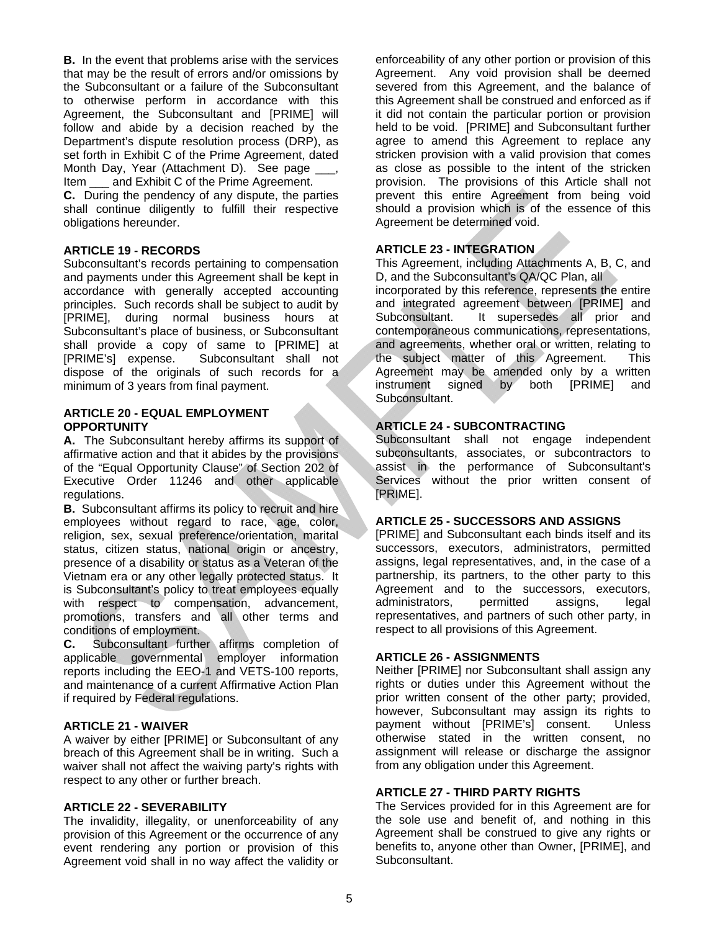**B.** In the event that problems arise with the services that may be the result of errors and/or omissions by the Subconsultant or a failure of the Subconsultant to otherwise perform in accordance with this Agreement, the Subconsultant and [PRIME] will follow and abide by a decision reached by the Department's dispute resolution process (DRP), as set forth in Exhibit C of the Prime Agreement, dated Month Day, Year (Attachment D). See page \_\_\_, Item and Exhibit C of the Prime Agreement.

**C.** During the pendency of any dispute, the parties shall continue diligently to fulfill their respective obligations hereunder.

### **ARTICLE 19 - RECORDS**

Subconsultant's records pertaining to compensation and payments under this Agreement shall be kept in accordance with generally accepted accounting principles. Such records shall be subject to audit by [PRIME], during normal business hours at Subconsultant's place of business, or Subconsultant shall provide a copy of same to [PRIME] at [PRIME's] expense. Subconsultant shall not dispose of the originals of such records for a minimum of 3 years from final payment.

#### **ARTICLE 20 - EQUAL EMPLOYMENT OPPORTUNITY**

**A.** The Subconsultant hereby affirms its support of affirmative action and that it abides by the provisions of the "Equal Opportunity Clause" of Section 202 of Executive Order 11246 and other applicable regulations.

**B.** Subconsultant affirms its policy to recruit and hire employees without regard to race, age, color, religion, sex, sexual preference/orientation, marital status, citizen status, national origin or ancestry, presence of a disability or status as a Veteran of the Vietnam era or any other legally protected status. It is Subconsultant's policy to treat employees equally with respect to compensation, advancement, promotions, transfers and all other terms and conditions of employment.

**C.** Subconsultant further affirms completion of applicable governmental employer information reports including the EEO-1 and VETS-100 reports, and maintenance of a current Affirmative Action Plan if required by Federal regulations.

## **ARTICLE 21 - WAIVER**

A waiver by either [PRIME] or Subconsultant of any breach of this Agreement shall be in writing. Such a waiver shall not affect the waiving party's rights with respect to any other or further breach.

### **ARTICLE 22 - SEVERABILITY**

The invalidity, illegality, or unenforceability of any provision of this Agreement or the occurrence of any event rendering any portion or provision of this Agreement void shall in no way affect the validity or

enforceability of any other portion or provision of this Agreement. Any void provision shall be deemed severed from this Agreement, and the balance of this Agreement shall be construed and enforced as if it did not contain the particular portion or provision held to be void. [PRIME] and Subconsultant further agree to amend this Agreement to replace any stricken provision with a valid provision that comes as close as possible to the intent of the stricken provision. The provisions of this Article shall not prevent this entire Agreement from being void should a provision which is of the essence of this Agreement be determined void.

## **ARTICLE 23 - INTEGRATION**

This Agreement, including Attachments A, B, C, and D, and the Subconsultant's QA/QC Plan, all

incorporated by this reference, represents the entire and integrated agreement between [PRIME] and Subconsultant. It supersedes all prior and contemporaneous communications, representations, and agreements, whether oral or written, relating to the subject matter of this Agreement. This Agreement may be amended only by a written instrument signed by both [PRIME] and Subconsultant.

# **ARTICLE 24 - SUBCONTRACTING**

Subconsultant shall not engage independent subconsultants, associates, or subcontractors to assist in the performance of Subconsultant's Services without the prior written consent of [PRIME].

### **ARTICLE 25 - SUCCESSORS AND ASSIGNS**

[PRIME] and Subconsultant each binds itself and its successors, executors, administrators, permitted assigns, legal representatives, and, in the case of a partnership, its partners, to the other party to this Agreement and to the successors, executors, administrators, permitted assigns, legal representatives, and partners of such other party, in respect to all provisions of this Agreement.

# **ARTICLE 26 - ASSIGNMENTS**

Neither [PRIME] nor Subconsultant shall assign any rights or duties under this Agreement without the prior written consent of the other party; provided, however, Subconsultant may assign its rights to payment without [PRIME's] consent. Unless otherwise stated in the written consent, no assignment will release or discharge the assignor from any obligation under this Agreement.

### **ARTICLE 27 - THIRD PARTY RIGHTS**

The Services provided for in this Agreement are for the sole use and benefit of, and nothing in this Agreement shall be construed to give any rights or benefits to, anyone other than Owner, [PRIME], and Subconsultant.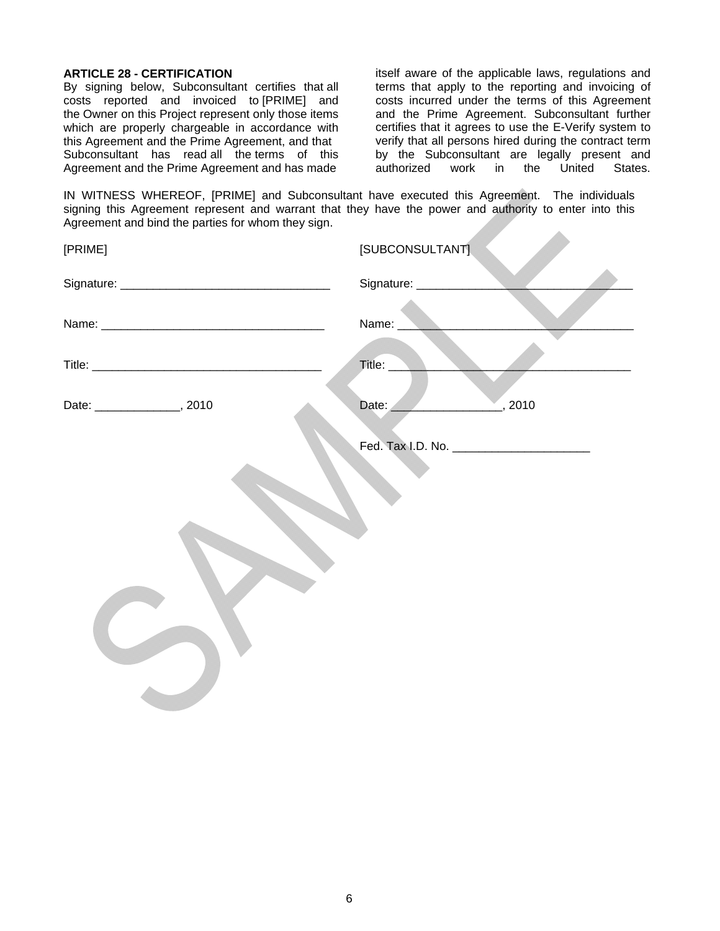## **ARTICLE 28 - CERTIFICATION**

By signing below, Subconsultant certifies that all costs reported and invoiced to [PRIME] and the Owner on this Project represent only those items which are properly chargeable in accordance with this Agreement and the Prime Agreement, and that Subconsultant has read all the terms of this Agreement and the Prime Agreement and has made

itself aware of the applicable laws, regulations and terms that apply to the reporting and invoicing of costs incurred under the terms of this Agreement and the Prime Agreement. Subconsultant further certifies that it agrees to use the E-Verify system to verify that all persons hired during the contract term by the Subconsultant are legally present and<br>authorized work in the United States. authorized work in the United States.

IN WITNESS WHEREOF, [PRIME] and Subconsultant have executed this Agreement. The individuals signing this Agreement represent and warrant that they have the power and authority to enter into this Agreement and bind the parties for whom they sign.

| [SUBCONSULTANT]         |
|-------------------------|
| Signature: ____________ |
| Name:                   |
| Title:                  |
| , 2010<br>Date:         |
|                         |
|                         |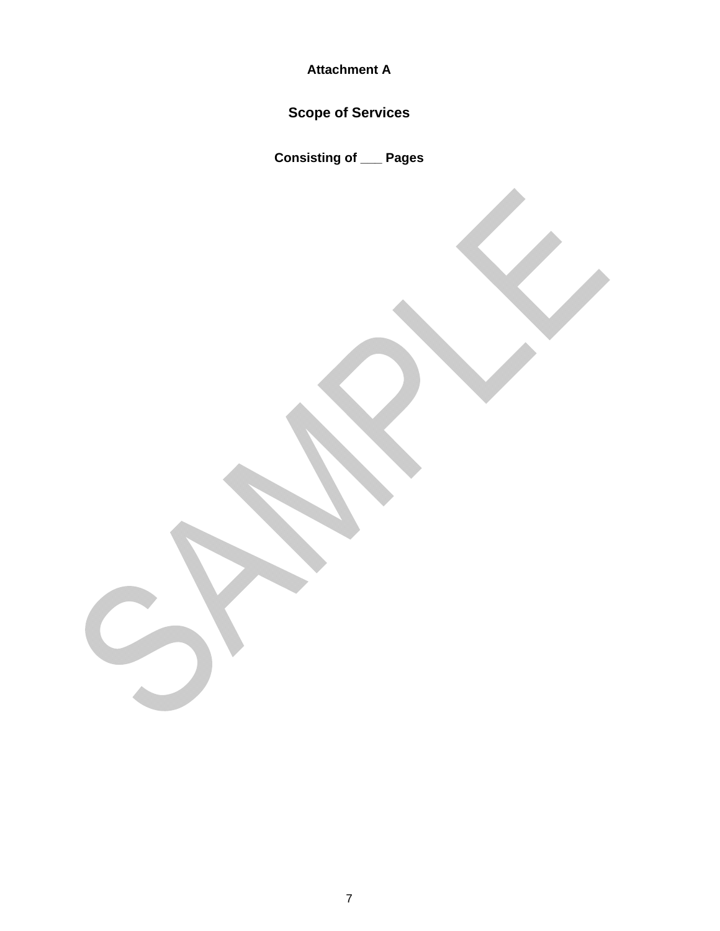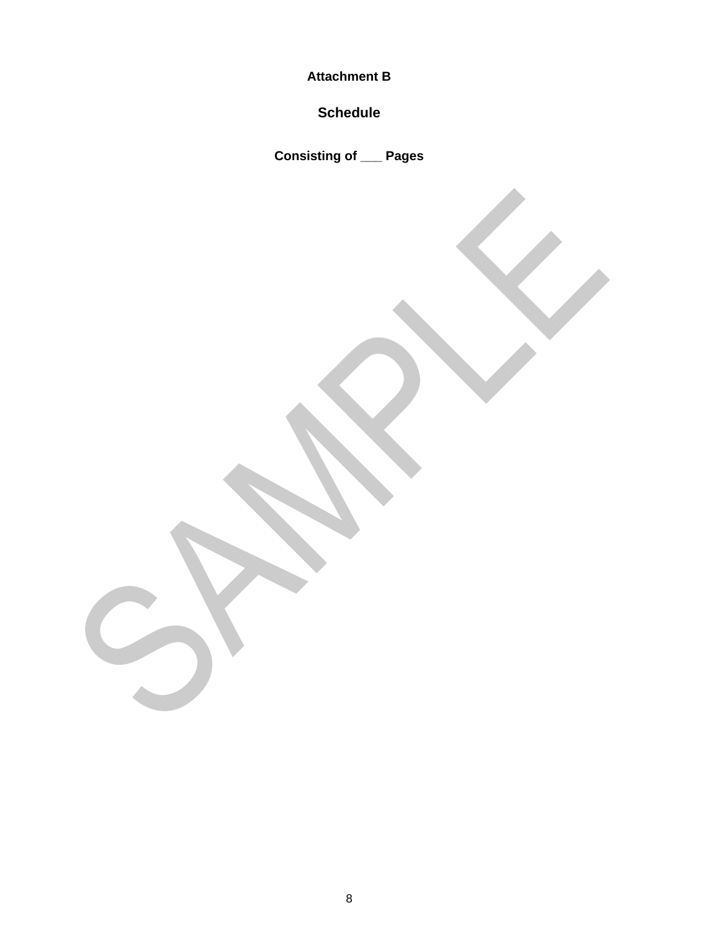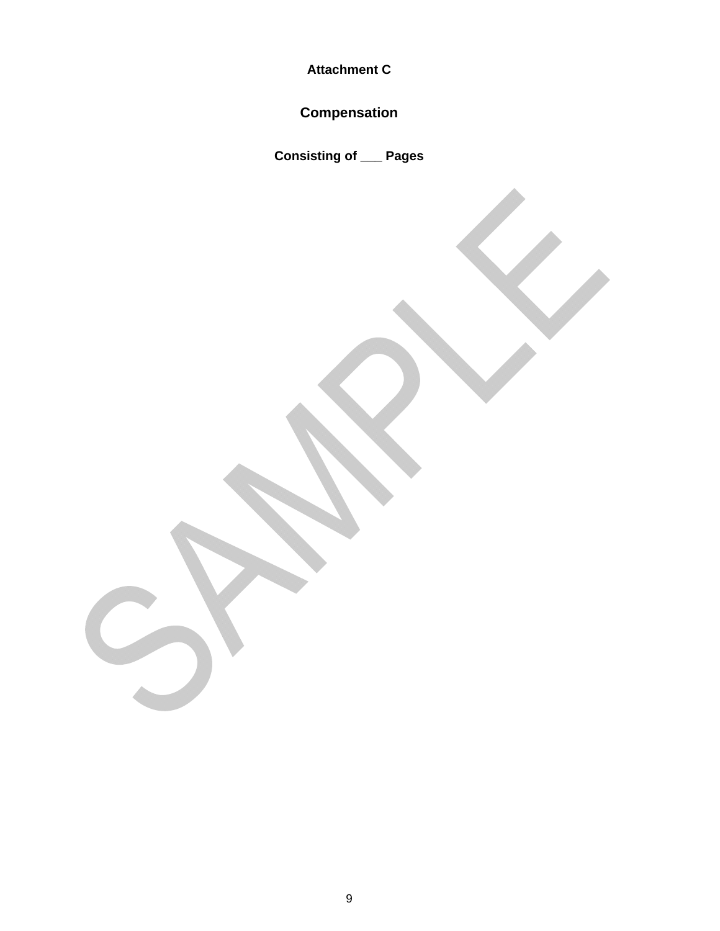